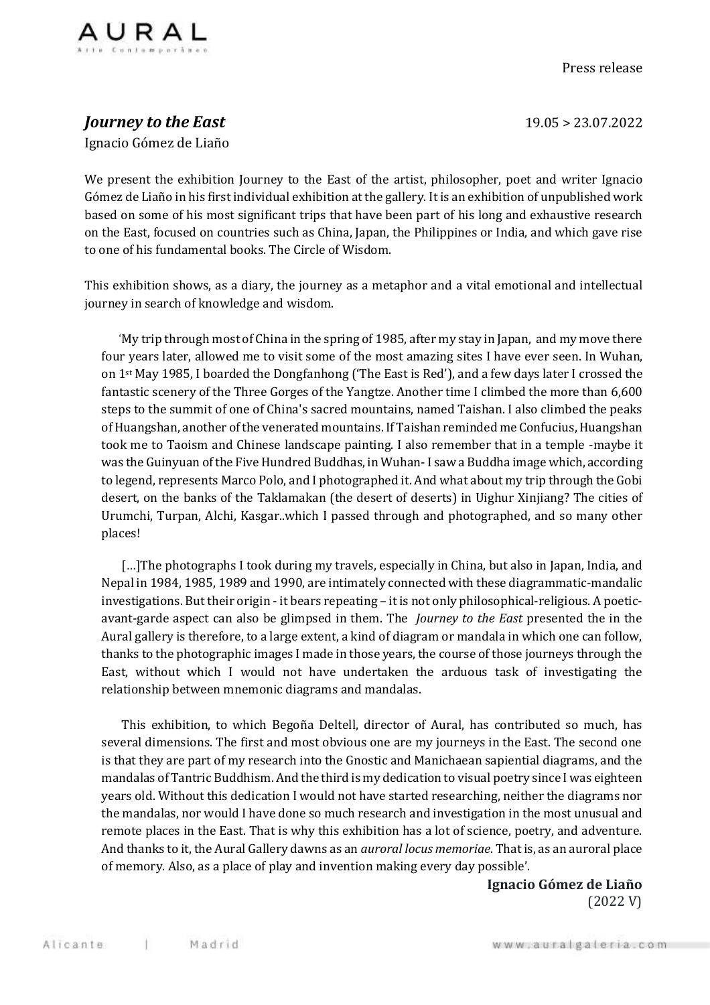Press release



## *Journey to the East*19.05 > 23.07.2022

Ignacio Gómez de Liaño

We present the exhibition Journey to the East of the artist, philosopher, poet and writer Ignacio Gómez de Liaño in his first individual exhibition at the gallery. It is an exhibition of unpublished work based on some of his most significant trips that have been part of his long and exhaustive research on the East, focused on countries such as China, Japan, the Philippines or India, and which gave rise to one of his fundamental books. The Circle of Wisdom.

This exhibition shows, as a diary, the journey as a metaphor and a vital emotional and intellectual journey in search of knowledge and wisdom.

 'My trip through most of China in the spring of 1985, after my stay in Japan, and my move there four years later, allowed me to visit some of the most amazing sites I have ever seen. In Wuhan, on 1st May 1985, I boarded the Dongfanhong ('The East is Red'), and a few days later I crossed the fantastic scenery of the Three Gorges of the Yangtze. Another time I climbed the more than 6,600 steps to the summit of one of China's sacred mountains, named Taishan. I also climbed the peaks of Huangshan, another of the venerated mountains. If Taishan reminded me Confucius, Huangshan took me to Taoism and Chinese landscape painting. I also remember that in a temple -maybe it was the Guinyuan of the Five Hundred Buddhas, in Wuhan- I saw a Buddha image which, according to legend, represents Marco Polo, and I photographed it. And what about my trip through the Gobi desert, on the banks of the Taklamakan (the desert of deserts) in Uighur Xinjiang? The cities of Urumchi, Turpan, Alchi, Kasgar..which I passed through and photographed, and so many other places!

 […]The photographs I took during my travels, especially in China, but also in Japan, India, and Nepal in 1984, 1985, 1989 and 1990, are intimately connected with these diagrammatic-mandalic investigations. But their origin - it bears repeating – it is not only philosophical-religious. A poeticavant-garde aspect can also be glimpsed in them. The *Journey to the East* presented the in the Aural gallery is therefore, to a large extent, a kind of diagram or mandala in which one can follow, thanks to the photographic images I made in those years, the course of those journeys through the East, without which I would not have undertaken the arduous task of investigating the relationship between mnemonic diagrams and mandalas.

 This exhibition, to which Begoña Deltell, director of Aural, has contributed so much, has several dimensions. The first and most obvious one are my journeys in the East. The second one is that they are part of my research into the Gnostic and Manichaean sapiential diagrams, and the mandalas of Tantric Buddhism. And the third is my dedication to visual poetry since I was eighteen years old. Without this dedication I would not have started researching, neither the diagrams nor the mandalas, nor would I have done so much research and investigation in the most unusual and remote places in the East. That is why this exhibition has a lot of science, poetry, and adventure. And thanks to it, the Aural Gallery dawns as an *auroral locus memoriae*. That is, as an auroral place of memory. Also, as a place of play and invention making every day possible'.

> **Ignacio Gómez de Liaño** (2022 V)